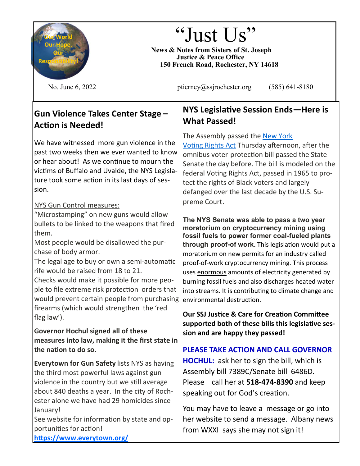<span id="page-0-0"></span>

# "Just Us"

**News & Notes from Sisters of St. Joseph Justice & Peace Office 150 French Road, Rochester, NY 14618**

No. June  $6, 2022$  ptierney $\omega$ ssjrochester.org (585) 641-8180

# **Gun Violence Takes Center Stage – Action is Needed!**

We have witnessed more gun violence in the past two weeks then we ever wanted to know or hear about! As we continue to mourn the victims of Buffalo and Uvalde, the NYS Legislature took some action in its last days of session.

## NYS Gun Control measures:

"Microstamping" on new guns would allow bullets to be linked to the weapons that fired them.

Most people would be disallowed the purchase of body armor.

The legal age to buy or own a semi-automatic rife would be raised from 18 to 21.

Checks would make it possible for more people to file extreme risk protection orders that would prevent certain people from purchasing firearms (which would strengthen the 'red flag law').

### **Governor Hochul signed all of these measures into law, making it the first state in the nation to do so.**

**Everytown for Gun Safety** lists NYS as having the third most powerful laws against gun violence in the country but we still average about 840 deaths a year. In the city of Rochester alone we have had 29 homicides since January!

See website for information by state and opportunities for action!

# **NYS Legislative Session Ends—Here is What Passed!**

The Assembly passed the [New York](https://citizensunion.us3.list-manage.com/track/click?u=ca0fb41d668202ba6cc542ca8&id=ba9124e806&e=1a5d3a1f3d)  [Voting Rights Act](https://citizensunion.us3.list-manage.com/track/click?u=ca0fb41d668202ba6cc542ca8&id=ba9124e806&e=1a5d3a1f3d) Thursday afternoon, after the omnibus voter-protection bill passed the State Senate the day before. The bill is modeled on the federal Voting Rights Act, passed in 1965 to protect the rights of Black voters and largely defanged over the last decade by the U.S. Supreme Court.

**The NYS Senate was able to pass a two year moratorium on cryptocurrency mining using fossil fuels to power former coal-fueled plants through proof-of work.** This legislation would put a moratorium on new permits for an industry called proof-of-work cryptocurrency mining. This process uses enormous amounts of electricity generated by burning fossil fuels and also discharges heated water into streams. It is contributing to climate change and environmental destruction.

**Our SSJ Justice & Care for Creation Committee supported both of these bills this legislative session and are happy they passed!**

## **PLEASE TAKE ACTION AND CALL GOVERNOR HOCHUL:** ask her to sign the bill, which is Assembly bill 7389C/Senate bill 6486D. Please call her at **518-474-8390** and keep speaking out for God's creation.

You may have to leave a message or go into her website to send a message. Albany news from WXXI says she may not sign it!

**[https://www.everytown.org/](#page-0-0)**